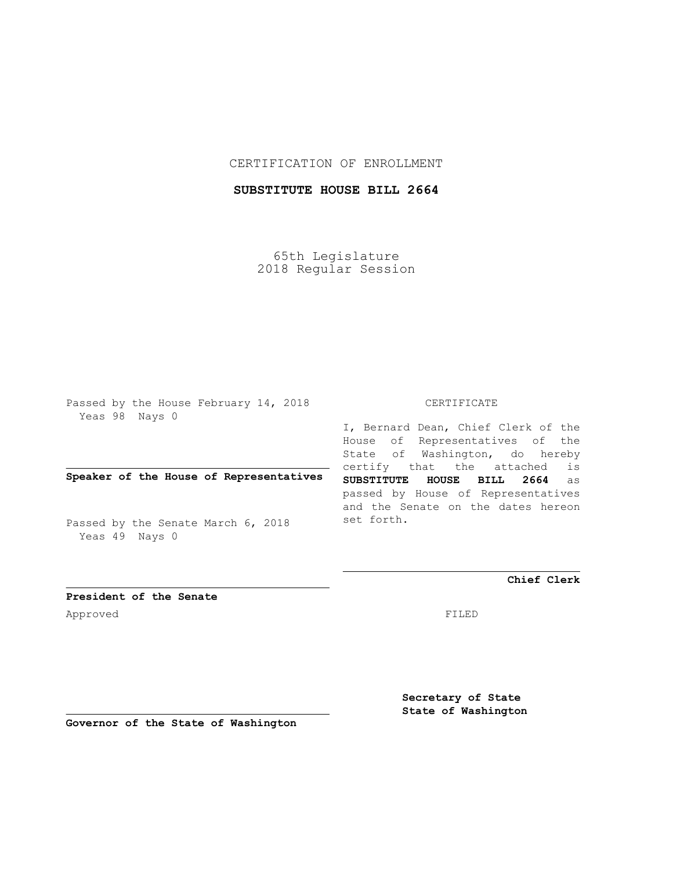## CERTIFICATION OF ENROLLMENT

# **SUBSTITUTE HOUSE BILL 2664**

65th Legislature 2018 Regular Session

Passed by the House February 14, 2018 Yeas 98 Nays 0

## **Speaker of the House of Representatives**

Passed by the Senate March 6, 2018 Yeas 49 Nays 0

#### CERTIFICATE

I, Bernard Dean, Chief Clerk of the House of Representatives of the State of Washington, do hereby certify that the attached is **SUBSTITUTE HOUSE BILL 2664** as passed by House of Representatives and the Senate on the dates hereon set forth.

**Chief Clerk**

**President of the Senate** Approved FILED

**Secretary of State State of Washington**

**Governor of the State of Washington**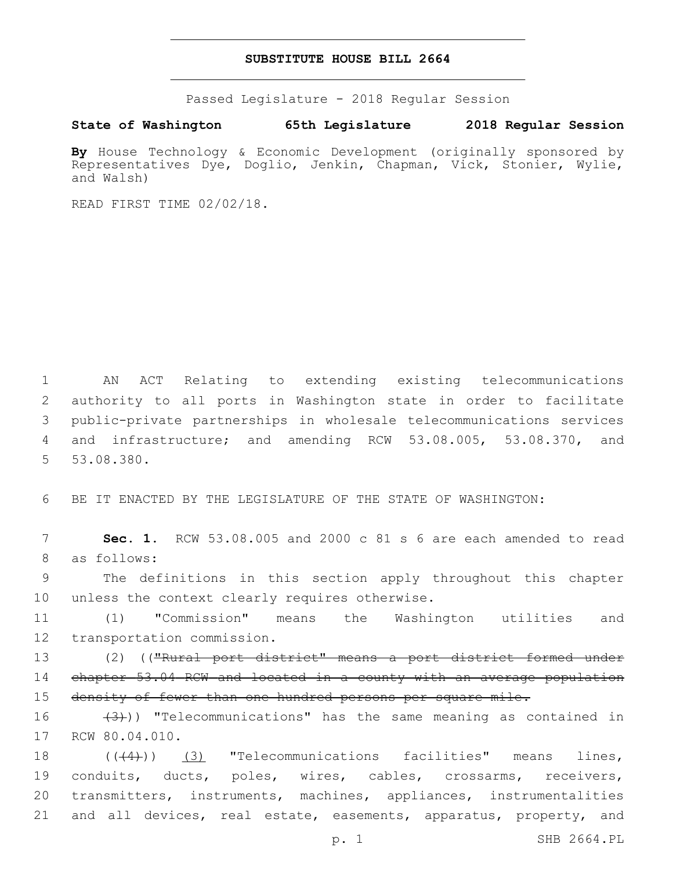#### **SUBSTITUTE HOUSE BILL 2664**

Passed Legislature - 2018 Regular Session

**State of Washington 65th Legislature 2018 Regular Session**

By House Technology & Economic Development (originally sponsored by Representatives Dye, Doglio, Jenkin, Chapman, Vick, Stonier, Wylie, and Walsh)

READ FIRST TIME 02/02/18.

 AN ACT Relating to extending existing telecommunications authority to all ports in Washington state in order to facilitate public-private partnerships in wholesale telecommunications services and infrastructure; and amending RCW 53.08.005, 53.08.370, and 5 53.08.380.

6 BE IT ENACTED BY THE LEGISLATURE OF THE STATE OF WASHINGTON:

7 **Sec. 1.** RCW 53.08.005 and 2000 c 81 s 6 are each amended to read 8 as follows:

9 The definitions in this section apply throughout this chapter 10 unless the context clearly requires otherwise.

11 (1) "Commission" means the Washington utilities and 12 transportation commission.

13 (2) (("Rural port district" means a port district formed under 14 chapter 53.04 RCW and located in a county with an average population 15 density of fewer than one hundred persons per square mile.

16  $(3)$ )) "Telecommunications" has the same meaning as contained in 17 RCW 80.04.010.

18 (((4))) (3) "Telecommunications facilities" means lines, conduits, ducts, poles, wires, cables, crossarms, receivers, transmitters, instruments, machines, appliances, instrumentalities and all devices, real estate, easements, apparatus, property, and

p. 1 SHB 2664.PL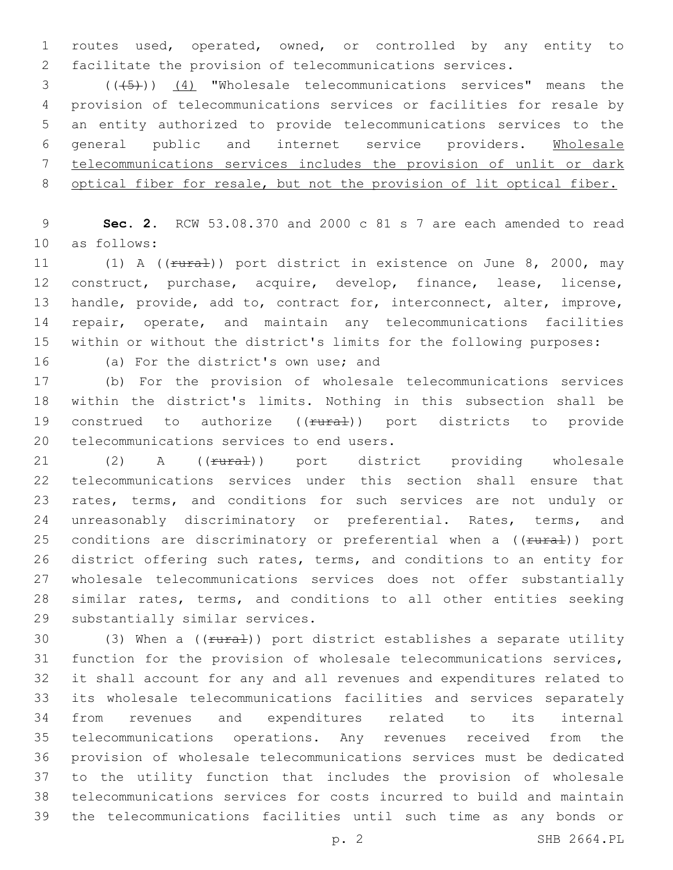routes used, operated, owned, or controlled by any entity to facilitate the provision of telecommunications services.

 (((5))) (4) "Wholesale telecommunications services" means the provision of telecommunications services or facilities for resale by an entity authorized to provide telecommunications services to the general public and internet service providers. Wholesale telecommunications services includes the provision of unlit or dark 8 optical fiber for resale, but not the provision of lit optical fiber.

 **Sec. 2.** RCW 53.08.370 and 2000 c 81 s 7 are each amended to read 10 as follows:

11 (1) A (( $\frac{1}{10}$  ) port district in existence on June 8, 2000, may construct, purchase, acquire, develop, finance, lease, license, handle, provide, add to, contract for, interconnect, alter, improve, repair, operate, and maintain any telecommunications facilities within or without the district's limits for the following purposes:

16 (a) For the district's own use; and

 (b) For the provision of wholesale telecommunications services within the district's limits. Nothing in this subsection shall be 19 construed to authorize ((rural)) port districts to provide 20 telecommunications services to end users.

21 (2) A (( $f$ ural)) port district providing wholesale telecommunications services under this section shall ensure that rates, terms, and conditions for such services are not unduly or 24 unreasonably discriminatory or preferential. Rates, terms, and 25 conditions are discriminatory or preferential when a ((rural)) port district offering such rates, terms, and conditions to an entity for wholesale telecommunications services does not offer substantially similar rates, terms, and conditions to all other entities seeking 29 substantially similar services.

30 (3) When a ((rural)) port district establishes a separate utility function for the provision of wholesale telecommunications services, it shall account for any and all revenues and expenditures related to its wholesale telecommunications facilities and services separately from revenues and expenditures related to its internal telecommunications operations. Any revenues received from the provision of wholesale telecommunications services must be dedicated to the utility function that includes the provision of wholesale telecommunications services for costs incurred to build and maintain the telecommunications facilities until such time as any bonds or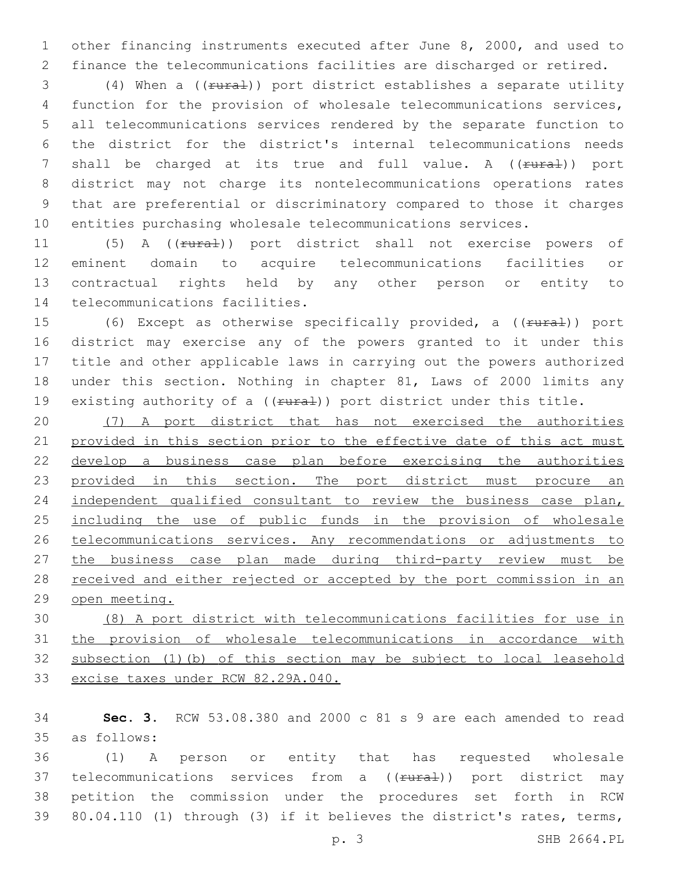other financing instruments executed after June 8, 2000, and used to finance the telecommunications facilities are discharged or retired.

3 (4) When a ((rural)) port district establishes a separate utility function for the provision of wholesale telecommunications services, all telecommunications services rendered by the separate function to the district for the district's internal telecommunications needs 7 shall be charged at its true and full value. A ((rural)) port district may not charge its nontelecommunications operations rates that are preferential or discriminatory compared to those it charges entities purchasing wholesale telecommunications services.

11 (5) A (( $f \text{tr}$ ) port district shall not exercise powers of eminent domain to acquire telecommunications facilities or contractual rights held by any other person or entity to 14 telecommunications facilities.

15 (6) Except as otherwise specifically provided, a ((rural)) port district may exercise any of the powers granted to it under this title and other applicable laws in carrying out the powers authorized under this section. Nothing in chapter 81, Laws of 2000 limits any 19 existing authority of a  $((*runa*),)$  port district under this title.

 (7) A port district that has not exercised the authorities provided in this section prior to the effective date of this act must develop a business case plan before exercising the authorities 23 provided in this section. The port district must procure an 24 independent qualified consultant to review the business case plan, 25 including the use of public funds in the provision of wholesale telecommunications services. Any recommendations or adjustments to the business case plan made during third-party review must be 28 received and either rejected or accepted by the port commission in an open meeting.

 (8) A port district with telecommunications facilities for use in the provision of wholesale telecommunications in accordance with subsection (1)(b) of this section may be subject to local leasehold excise taxes under RCW 82.29A.040.

 **Sec. 3.** RCW 53.08.380 and 2000 c 81 s 9 are each amended to read as follows:35

 (1) A person or entity that has requested wholesale 37 telecommunications services from a ((rural)) port district may petition the commission under the procedures set forth in RCW 80.04.110 (1) through (3) if it believes the district's rates, terms,